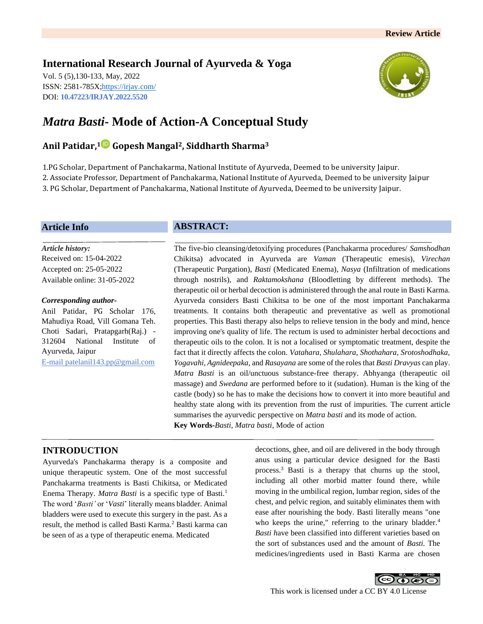# **International Research Journal of Ayurveda & Yoga**

Vol. 5 (5),130-133, May, 2022 ISSN: 2581-785X[; https://irjay.com/](https://irjay.com/) DOI: **10.47223/IRJAY.2022.5520**



# *Matra Basti***- Mode of Action-A Conceptual Study**

# **Anil Patidar,<sup>1</sup> Gopesh Mangal2, Siddharth Sharma<sup>3</sup>**

1.PG Scholar, Department of Panchakarma, National Institute of Ayurveda, Deemed to be university Jaipur. 2. Associate Professor, Department of Panchakarma, National Institute of Ayurveda, Deemed to be university Jaipur 3. PG Scholar, Department of Panchakarma, National Institute of Ayurveda, Deemed to be university Jaipur.

# **Article Info**

*Article history:* Received on: 15-04-2022 Accepted on: 25-05-2022 Available online: 31-05-2022

#### *Corresponding author-*

Anil Patidar, PG Scholar 176, Mahudiya Road, Vill Gomana Teh. Choti Sadari, Pratapgarh(Raj.) - 312604 National Institute of Ayurveda, Jaipur E-mail patelanil143.pp@gmail.com

## **ABSTRACT:**

The five-bio cleansing/detoxifying procedures (Panchakarma procedures/ *Samshodhan*  Chikitsa) advocated in Ayurveda are *Vaman* (Therapeutic emesis), *Virechan* (Therapeutic Purgation), *Basti* (Medicated Enema), *Nasya* (Infiltration of medications through nostrils), and *Raktamokshana* (Bloodletting by different methods). The therapeutic oil or herbal decoction is administered through the anal route in Basti Karma. Ayurveda considers Basti Chikitsa to be one of the most important Panchakarma treatments. It contains both therapeutic and preventative as well as promotional properties. This Basti therapy also helps to relieve tension in the body and mind, hence improving one's quality of life. The rectum is used to administer herbal decoctions and therapeutic oils to the colon. It is not a localised or symptomatic treatment, despite the fact that it directly affects the colon. *Vatahara, Shulahara, Shothahara, Srotoshodhaka, Yogavahi, Agnideepaka,* and *Rasayana* are some of the roles that *Basti Dravyas* can play. *Matra Basti* is an oil/unctuous substance-free therapy. Abhyanga (therapeutic oil massage) and *Swedana* are performed before to it (sudation). Human is the king of the castle (body) so he has to make the decisions how to convert it into more beautiful and healthy state along with its prevention from the rust of impurities. The current article summarises the ayurvedic perspective on *Matra basti* and its mode of action. **Key Words-***Basti, Matra basti*, Mode of action

# **INTRODUCTION**

Ayurveda's Panchakarma therapy is a composite and unique therapeutic system. One of the most successful Panchakarma treatments is Basti Chikitsa, or Medicated Enema Therapy. *Matra Basti* is a specific type of Basti.<sup>1</sup> The word '*Basti'* or '*Vasti*' literally means bladder. Animal bladders were used to execute this surgery in the past. As a result, the method is called Basti Karma.<sup>2</sup> Basti karma can be seen of as a type of therapeutic enema. Medicated

decoctions, ghee, and oil are delivered in the body through anus using a particular device designed for the Basti process.<sup>3</sup> Basti is a therapy that churns up the stool, including all other morbid matter found there, while moving in the umbilical region, lumbar region, sides of the chest, and pelvic region, and suitably eliminates them with ease after nourishing the body. Basti literally means "one who keeps the urine," referring to the urinary bladder.<sup>4</sup> *Basti h*ave been classified into different varieties based on the sort of substances used and the amount of *Basti.* The medicines/ingredients used in Basti Karma are chosen

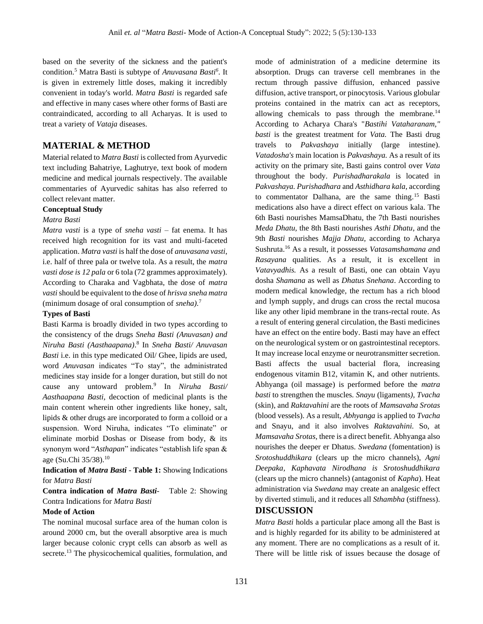based on the severity of the sickness and the patient's condition.<sup>5</sup> Matra Basti is subtype of *Anuvasana Basti<sup>6</sup>* . It is given in extremely little doses, making it incredibly convenient in today's world. *Matra Basti* is regarded safe and effective in many cases where other forms of Basti are contraindicated, according to all Acharyas. It is used to treat a variety of *Vataja* diseases.

## **MATERIAL & METHOD**

Material related to *Matra Basti* is collected from Ayurvedic text including Bahatriye, Laghutrye, text book of modern medicine and medical journals respectively. The available commentaries of Ayurvedic sahitas has also referred to collect relevant matter.

### **Conceptual Study**

#### *Matra Basti*

*Matra vasti* is a type of *sneha vasti* – fat enema. It has received high recognition for its vast and multi-faceted application. *Matra vasti* is half the dose of *anuvasana vasti*, i.e. half of three pala or twelve tola. As a result, the *matra vasti dose is 12 pala* or 6 tola (72 grammes approximately). According to Charaka and Vagbhata, the dose of *matra vasti*should be equivalent to the dose of *hrisva sneha matra* (minimum dosage of oral consumption of *sneha).*<sup>7</sup>

#### **Types of Basti**

Basti Karma is broadly divided in two types according to the consistency of the drugs *Sneha Basti (Anuvasan) and Niruha Basti (Aasthaapana)*. 8 In *Sneha Basti/ Anuvasan Basti* i.e. in this type medicated Oil/ Ghee, lipids are used, word *Anuvasan* indicates "To stay", the administrated medicines stay inside for a longer duration, but still do not cause any untoward problem.<sup>9</sup> In *Niruha Basti/ Aasthaapana Basti,* decoction of medicinal plants is the main content wherein other ingredients like honey, salt, lipids & other drugs are incorporated to form a colloid or a suspension. Word Niruha, indicates "To eliminate" or eliminate morbid Doshas or Disease from body, & its synonym word "*Asthapan*" indicates "establish life span & age (Su.Chi 35/38).<sup>10</sup>

**Indication of** *Matra Basti -* **Table 1:** Showing Indications for *Matra Basti*

**Contra indication of** *Matra Basti-*Table 2: Showing Contra Indications for *Matra Basti*

#### **Mode of Action**

The nominal mucosal surface area of the human colon is around 2000 cm, but the overall absorptive area is much larger because colonic crypt cells can absorb as well as secrete.<sup>13</sup> The physicochemical qualities, formulation, and mode of administration of a medicine determine its absorption. Drugs can traverse cell membranes in the rectum through passive diffusion, enhanced passive diffusion, active transport, or pinocytosis. Various globular proteins contained in the matrix can act as receptors, allowing chemicals to pass through the membrane.<sup>14</sup> According to Acharya Chara's "*Bastihi Vataharanam," basti* is the greatest treatment for *Vata.* The Basti drug travels to *Pakvashaya* initially (large intestine). *Vatadosha's* main location is *Pakvashaya.* As a result of its activity on the primary site, Basti gains control over *Vata*  throughout the body. *Purishadharakala* is located in *Pakvashaya. Purishadhara* and *Asthidhara kala*, according to commentator Dalhana, are the same thing.<sup>15</sup> Basti medications also have a direct effect on various kala. The 6th Basti nourishes MamsaDhatu, the 7th Basti nourishes *Meda Dhatu,* the 8th Basti nourishes *Asthi Dhatu*, and the 9th *Basti* nourishes *Majja Dhatu,* according to Acharya Sushruta.<sup>16</sup> As a result, it possesses *Vatasamshamana a*nd *Rasayana* qualities. As a result, it is excellent in *Vatavyadhis.* As a result of Basti, one can obtain Vayu dosha *Shamana* as well as *Dhatus Snehana*. According to modern medical knowledge, the rectum has a rich blood and lymph supply, and drugs can cross the rectal mucosa like any other lipid membrane in the trans-rectal route. As a result of entering general circulation, the Basti medicines have an effect on the entire body. Basti may have an effect on the neurological system or on gastrointestinal receptors. It may increase local enzyme or neurotransmitter secretion. Basti affects the usual bacterial flora, increasing endogenous vitamin B12, vitamin K, and other nutrients. Abhyanga (oil massage) is performed before the *matra basti* to strengthen the muscles*. Snayu* (ligaments*), Tvacha* (skin), and *Raktavahini* are the roots of *Mamsavaha Srotas* (blood vessels). As a result, *Abhyanga* is applied to *Tvacha* and Snayu, and it also involves *Raktavahini.* So, at *Mamsavaha Srotas,* there is a direct benefit. Abhyanga also nourishes the deeper er Dhatus. *Swedana* (fomentation) is *Srotoshuddhikara* (clears up the micro channels), *Agni Deepaka, Kaphavata Nirodhana is Srotoshuddhikara* (clears up the micro channels) (antagonist of *Kapha*). Heat administration via *Swedana* may create an analgesic effect by diverted stimuli, and it reduces all *Sthambha* (stiffness).

## **DISCUSSION**

*Matra Basti* holds a particular place among all the Bast is and is highly regarded for its ability to be administered at any moment. There are no complications as a result of it. There will be little risk of issues because the dosage of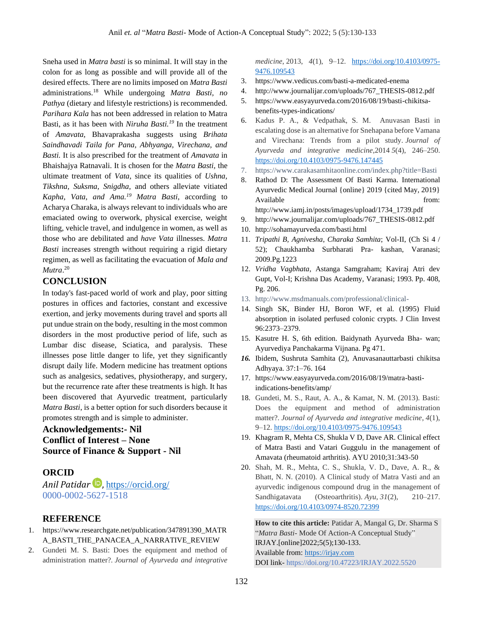Sneha used in *Matra basti* is so minimal. It will stay in the colon for as long as possible and will provide all of the desired effects. There are no limits imposed on *Matra Basti* administrations.<sup>18</sup> While undergoing *Matra Basti, no Pathya* (dietary and lifestyle restrictions) is recommended. *Parihara Kala* has not been addressed in relation to Matra Basti, as it has been with *Niruha Basti.<sup>19</sup>* In the treatment of *Amavata,* Bhavaprakasha suggests using *Brihata Saindhavadi Taila for Pana, Abhyanga, Virechana, and Basti.* It is also prescribed for the treatment of *Amavata* in Bhaishajya Ratnavali. It is chosen for the *Matra Basti,* the ultimate treatment of *Vata,* since its qualities of *Ushna, Tikshna, Suksma, Snigdha,* and others alleviate vitiated *Kapha, Vata, and Ama.<sup>19</sup> Matra Basti*, according to Acharya Charaka, is always relevant to individuals who are emaciated owing to overwork, physical exercise, weight lifting, vehicle travel, and indulgence in women, as well as those who are debilitated and *have Vata* illnesses. *Matra Basti* increases strength without requiring a rigid dietary regimen, as well as facilitating the evacuation of *Mala and Mutra*. 20

# **CONCLUSION**

In today's fast-paced world of work and play, poor sitting postures in offices and factories, constant and excessive exertion, and jerky movements during travel and sports all put undue strain on the body, resulting in the most common disorders in the most productive period of life, such as Lumbar disc disease, Sciatica, and paralysis. These illnesses pose little danger to life, yet they significantly disrupt daily life. Modern medicine has treatment options such as analgesics, sedatives, physiotherapy, and surgery, but the recurrence rate after these treatments is high. It has been discovered that Ayurvedic treatment, particularly *Matra Basti*, is a better option for such disorders because it promotes strength and is simple to administer.

# **Acknowledgements:- Nil Conflict of Interest – None Source of Finance & Support - Nil**

# **ORCID**

*Anil Patidar* , <https://orcid.org/> 0000-0002-5627-1518

## **REFERENCE**

- 1. [https://www.researchgate.net/publication/347891390\\_MATR](https://www.researchgate.net/publication/347891390_MATRA_BASTI_THE_PANACEA_A_NARRATIVE_REVIEW) [A\\_BASTI\\_THE\\_PANACEA\\_A\\_NARRATIVE\\_REVIEW](https://www.researchgate.net/publication/347891390_MATRA_BASTI_THE_PANACEA_A_NARRATIVE_REVIEW)
- 2. Gundeti M. S. Basti: Does the equipment and method of administration matter?. *Journal of Ayurveda and integrative*

*medicine*, 2013, *4*(1), 9–12. [https://doi.org/10.4103/0975-](https://doi.org/10.4103/0975-9476.109543) [9476.109543](https://doi.org/10.4103/0975-9476.109543)

- 3. <https://www.vedicus.com/basti-a-medicated-enema>
- 4. [http://www.journalijar.com/uploads/767\\_THESIS-0812.pdf](http://www.journalijar.com/uploads/767_THESIS-0812.pdf)
- 5. [https://www.easyayurveda.com/2016/08/19/basti-chikitsa](https://www.easyayurveda.com/2016/08/19/basti-chikitsa-benefits-types-indications/)[benefits-types-indications/](https://www.easyayurveda.com/2016/08/19/basti-chikitsa-benefits-types-indications/)
- 6. Kadus P. A., & Vedpathak, S. M. Anuvasan Basti in escalating dose is an alternative for Snehapana before Vamana and Virechana: Trends from a pilot study. *Journal of Ayurveda and integrative medicine*,2014 *5*(4), 246–250. <https://doi.org/10.4103/0975-9476.147445>
- 7. <https://www.carakasamhitaonline.com/index.php?title=Basti>
- 8. Rathod D: The Assessment Of Basti Karma. International Ayurvedic Medical Journal {online} 2019 {cited May, 2019} Available from: [http://www.iamj.in/posts/images/upload/1734\\_1739.pdf](http://www.iamj.in/posts/images/upload/1734_1739.pdf)
- 9. [http://www.journalijar.com/uploads/767\\_THESIS-0812.pdf](http://www.journalijar.com/uploads/767_THESIS-0812.pdf)
- 10. <http://sohamayurveda.com/basti.html>
- 11. *Tripathi B, Agnivesha*, *Charaka Samhita*; Vol-II, (Ch Si 4 / 52); Chaukhamba Surbharati Pra- kashan, Varanasi; 2009.Pg.1223
- 12. *Vridha Vagbhata*, Astanga Samgraham; Kaviraj Atri dev Gupt, Vol-I; Krishna Das Academy, Varanasi; 1993. Pp. 408, Pg. 206.
- 13. <http://www.msdmanuals.com/professional/clinical->
- 14. Singh SK, Binder HJ, Boron WF, et al. (1995) Fluid absorption in isolated perfused colonic crypts. J Clin Invest 96:2373–2379.
- 15. Kasutre H. S, 6th edition. Baidynath Ayurveda Bha- wan; Ayurvediya Panchakarma Vijnana. Pg 471.
- *16.* Ibidem, Sushruta Samhita (2), Anuvasanauttarbasti chikitsa Adhyaya. 37:1–76. 164
- 17. [https://www.easyayurveda.com/2016/08/19/matra-basti](https://www.easyayurveda.com/2016/08/19/matra-basti-indications-benefits/amp/)[indications-benefits/amp/](https://www.easyayurveda.com/2016/08/19/matra-basti-indications-benefits/amp/)
- 18. Gundeti, M. S., Raut, A. A., & Kamat, N. M. (2013). Basti: Does the equipment and method of administration matter?. *Journal of Ayurveda and integrative medicine*, *4*(1), 9–12[. https://doi.org/10.4103/0975-9476.109543](https://doi.org/10.4103/0975-9476.109543)
- 19. Khagram R, Mehta CS, Shukla V D, Dave AR. Clinical effect of Matra Basti and Vatari Guggulu in the management of Amavata (rheumatoid arthritis). AYU 2010;31:343-50
- 20. Shah, M. R., Mehta, C. S., Shukla, V. D., Dave, A. R., & Bhatt, N. N. (2010). A Clinical study of Matra Vasti and an ayurvedic indigenous compound drug in the management of Sandhigatavata (Osteoarthritis). *Ayu*, *31*(2), 210–217. <https://doi.org/10.4103/0974-8520.72399>

**How to cite this article:** Patidar A, Mangal G, Dr. Sharma S "*Matra Basti*- Mode Of Action-A Conceptual Study" IRJAY.[online]2022;5(5);130-133. Available from[: https://irjay.com](https://irjay.com/) DOI link- https://doi.org/10.47223/IRJAY.2022.5520